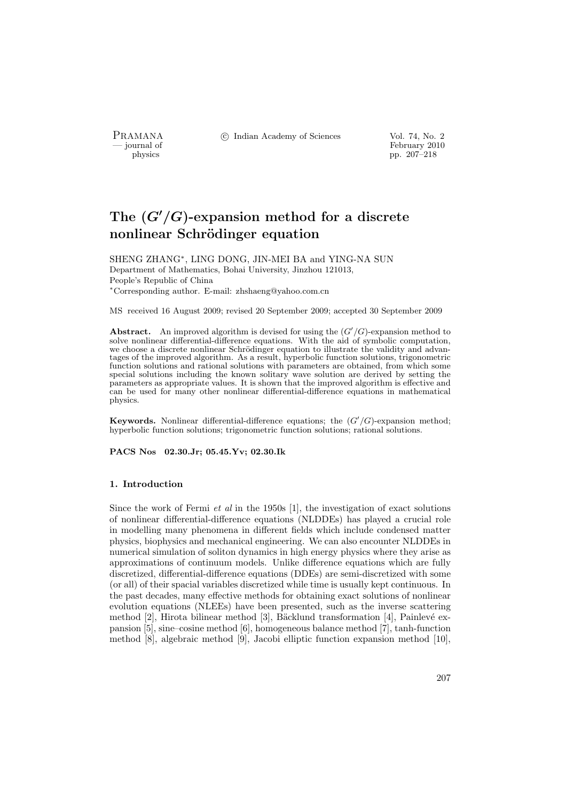PRAMANA °c Indian Academy of Sciences Vol. 74, No. 2

physics<br>
and the physics<br>  $\frac{1}{207-218}$ pp. 207–218

# The  $(G'/G)$ -expansion method for a discrete nonlinear Schrödinger equation

SHENG ZHANG<sup>∗</sup> , LING DONG, JIN-MEI BA and YING-NA SUN Department of Mathematics, Bohai University, Jinzhou 121013, People's Republic of China <sup>∗</sup>Corresponding author. E-mail: zhshaeng@yahoo.com.cn

MS received 16 August 2009; revised 20 September 2009; accepted 30 September 2009

**Abstract.** An improved algorithm is devised for using the  $(G'/G)$ -expansion method to solve nonlinear differential-difference equations. With the aid of symbolic computation, we choose a discrete nonlinear Schrödinger equation to illustrate the validity and advantages of the improved algorithm. As a result, hyperbolic function solutions, trigonometric function solutions and rational solutions with parameters are obtained, from which some special solutions including the known solitary wave solution are derived by setting the parameters as appropriate values. It is shown that the improved algorithm is effective and can be used for many other nonlinear differential-difference equations in mathematical physics.

Keywords. Nonlinear differential-difference equations; the  $(G'/G)$ -expansion method; hyperbolic function solutions; trigonometric function solutions; rational solutions.

PACS Nos 02.30.Jr; 05.45.Yv; 02.30.Ik

# 1. Introduction

Since the work of Fermi *et al* in the 1950s [1], the investigation of exact solutions of nonlinear differential-difference equations (NLDDEs) has played a crucial role in modelling many phenomena in different fields which include condensed matter physics, biophysics and mechanical engineering. We can also encounter NLDDEs in numerical simulation of soliton dynamics in high energy physics where they arise as approximations of continuum models. Unlike difference equations which are fully discretized, differential-difference equations (DDEs) are semi-discretized with some (or all) of their spacial variables discretized while time is usually kept continuous. In the past decades, many effective methods for obtaining exact solutions of nonlinear evolution equations (NLEEs) have been presented, such as the inverse scattering method [2], Hirota bilinear method [3], Bäcklund transformation [4], Painlevé expansion [5], sine–cosine method [6], homogeneous balance method [7], tanh-function method [8], algebraic method [9], Jacobi elliptic function expansion method [10],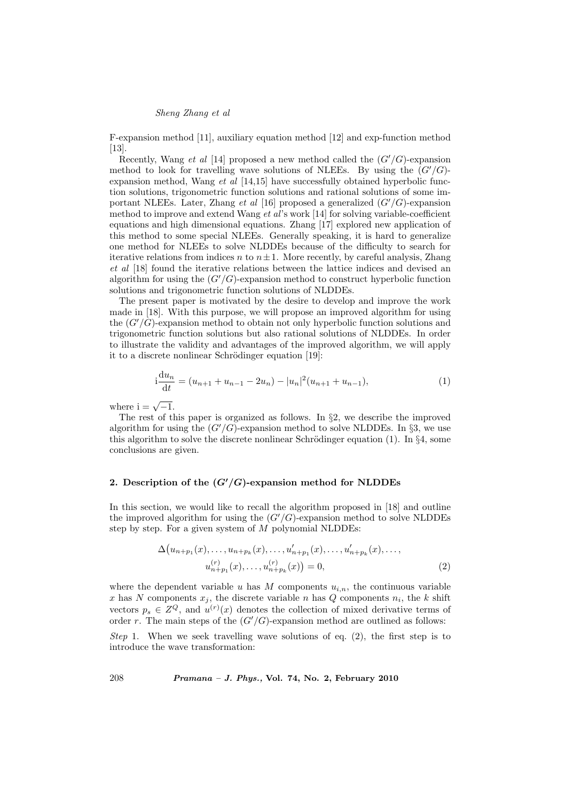F-expansion method [11], auxiliary equation method [12] and exp-function method [13].

Recently, Wang et al [14] proposed a new method called the  $(G'/G)$ -expansion method to look for travelling wave solutions of NLEEs. By using the  $(G'/G)$ expansion method, Wang  $et \ al \ [14,15]$  have successfully obtained hyperbolic function solutions, trigonometric function solutions and rational solutions of some important NLEEs. Later, Zhang et al [16] proposed a generalized  $(G'/G)$ -expansion method to improve and extend Wang et al's work [14] for solving variable-coefficient equations and high dimensional equations. Zhang [17] explored new application of this method to some special NLEEs. Generally speaking, it is hard to generalize one method for NLEEs to solve NLDDEs because of the difficulty to search for iterative relations from indices n to  $n \pm 1$ . More recently, by careful analysis, Zhang et al [18] found the iterative relations between the lattice indices and devised an algorithm for using the  $(G'/G)$ -expansion method to construct hyperbolic function solutions and trigonometric function solutions of NLDDEs.

The present paper is motivated by the desire to develop and improve the work made in [18]. With this purpose, we will propose an improved algorithm for using the  $(G'/G)$ -expansion method to obtain not only hyperbolic function solutions and trigonometric function solutions but also rational solutions of NLDDEs. In order to illustrate the validity and advantages of the improved algorithm, we will apply it to a discrete nonlinear Schrödinger equation [19]:

$$
i\frac{du_n}{dt} = (u_{n+1} + u_{n-1} - 2u_n) - |u_n|^2(u_{n+1} + u_{n-1}),
$$
\n(1)

where  $i = \sqrt{-1}$ .

The rest of this paper is organized as follows. In  $\S 2$ , we describe the improved algorithm for using the  $(G'/G)$ -expansion method to solve NLDDEs. In §3, we use this algorithm to solve the discrete nonlinear Schrödinger equation (1). In  $\S 4$ , some conclusions are given.

# 2. Description of the  $(G'/G)$ -expansion method for NLDDEs

In this section, we would like to recall the algorithm proposed in [18] and outline the improved algorithm for using the  $(G'/G)$ -expansion method to solve NLDDEs step by step. For a given system of  $M$  polynomial NLDDEs:

$$
\Delta(u_{n+p_1}(x), \dots, u_{n+p_k}(x), \dots, u'_{n+p_1}(x), \dots, u'_{n+p_k}(x), \dots, u'_{n+p_k}(x), \dots, u'_{n+p_k}(x)) = 0,
$$
\n
$$
(2)
$$

where the dependent variable u has M components  $u_{i,n}$ , the continuous variable x has N components  $x_j$ , the discrete variable n has Q components  $n_i$ , the k shift vectors  $p_s \in Z^Q$ , and  $u^{(r)}(x)$  denotes the collection of mixed derivative terms of order r. The main steps of the  $(G'/G)$ -expansion method are outlined as follows:

Step 1. When we seek travelling wave solutions of eq.  $(2)$ , the first step is to introduce the wave transformation: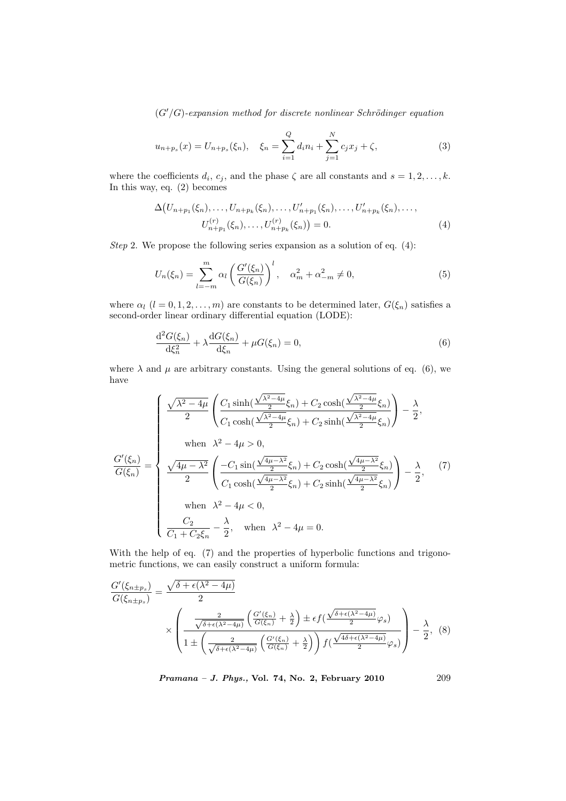$$
u_{n+p_s}(x) = U_{n+p_s}(\xi_n), \quad \xi_n = \sum_{i=1}^Q d_i n_i + \sum_{j=1}^N c_j x_j + \zeta,
$$
\n(3)

where the coefficients  $d_i, c_j$ , and the phase  $\zeta$  are all constants and  $s = 1, 2, \ldots, k$ . In this way, eq. (2) becomes

$$
\Delta \big(U_{n+p_1}(\xi_n),\ldots,U_{n+p_k}(\xi_n),\ldots,U'_{n+p_1}(\xi_n),\ldots,U'_{n+p_k}(\xi_n),\ldots,
$$
  

$$
U_{n+p_1}^{(r)}(\xi_n),\ldots,U_{n+p_k}^{(r)}(\xi_n)\big)=0.
$$
 (4)

Step 2. We propose the following series expansion as a solution of eq.  $(4)$ :

$$
U_n(\xi_n) = \sum_{l=-m}^{m} \alpha_l \left( \frac{G'(\xi_n)}{G(\xi_n)} \right)^l, \quad \alpha_m^2 + \alpha_{-m}^2 \neq 0,
$$
\n(5)

where  $\alpha_l$  ( $l = 0, 1, 2, ..., m$ ) are constants to be determined later,  $G(\xi_n)$  satisfies a second-order linear ordinary differential equation (LODE):

$$
\frac{d^2 G(\xi_n)}{d\xi_n^2} + \lambda \frac{d G(\xi_n)}{d\xi_n} + \mu G(\xi_n) = 0,
$$
\n(6)

where  $\lambda$  and  $\mu$  are arbitrary constants. Using the general solutions of eq. (6), we have

$$
\frac{G'(\xi_n)}{G(\xi_n)} = \begin{cases}\n\frac{\sqrt{\lambda^2 - 4\mu}}{2} \left( \frac{C_1 \sinh(\frac{\sqrt{\lambda^2 - 4\mu}}{2} \xi_n) + C_2 \cosh(\frac{\sqrt{\lambda^2 - 4\mu}}{2} \xi_n)}{C_1 \cosh(\frac{\sqrt{\lambda^2 - 4\mu}}{2} \xi_n) + C_2 \sinh(\frac{\sqrt{\lambda^2 - 4\mu}}{2} \xi_n)} \right) - \frac{\lambda}{2}, \\
\text{when } \lambda^2 - 4\mu > 0, \\
\frac{G'(\xi_n)}{2} = \begin{cases}\n\frac{\sqrt{4\mu - \lambda^2}}{2} \left( \frac{-C_1 \sin(\frac{\sqrt{4\mu - \lambda^2}}{2} \xi_n) + C_2 \cosh(\frac{\sqrt{4\mu - \lambda^2}}{2} \xi_n)}{C_1 \cosh(\frac{\sqrt{4\mu - \lambda^2}}{2} \xi_n) + C_2 \sinh(\frac{\sqrt{4\mu - \lambda^2}}{2} \xi_n)} \right) - \frac{\lambda}{2}, \\
\text{when } \lambda^2 - 4\mu < 0, \\
\frac{C_2}{C_1 + C_2 \xi_n} - \frac{\lambda}{2}, \text{ when } \lambda^2 - 4\mu = 0.\n\end{cases}
$$
\n(7)

With the help of eq. (7) and the properties of hyperbolic functions and trigonometric functions, we can easily construct a uniform formula:

$$
\frac{G'(\xi_{n\pm p_s})}{G(\xi_{n\pm p_s})} = \frac{\sqrt{\delta + \epsilon(\lambda^2 - 4\mu)}}{2}
$$
\n
$$
\times \left( \frac{\frac{2}{\sqrt{\delta + \epsilon(\lambda^2 - 4\mu)}} \left( \frac{G'(\xi_n)}{G(\xi_n)} + \frac{\lambda}{2} \right) \pm \epsilon f(\frac{\sqrt{\delta + \epsilon(\lambda^2 - 4\mu)}}{2} \varphi_s)}{1 \pm \left( \frac{2}{\sqrt{\delta + \epsilon(\lambda^2 - 4\mu)}} \left( \frac{G'(\xi_n)}{G(\xi_n)} + \frac{\lambda}{2} \right) \right) f(\frac{\sqrt{4\delta + \epsilon(\lambda^2 - 4\mu)}}{2} \varphi_s)} \right) - \frac{\lambda}{2}, \quad (8)
$$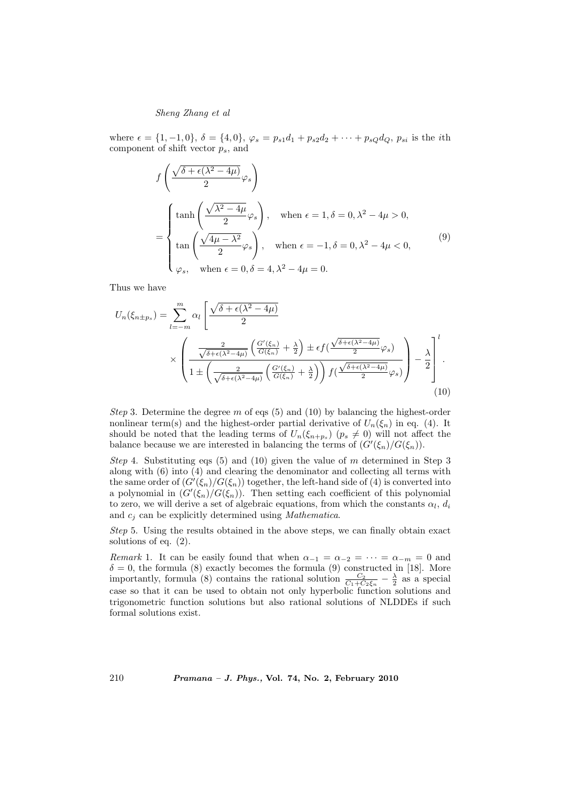where  $\epsilon = \{1, -1, 0\}, \delta = \{4, 0\}, \varphi_s = p_{s1}d_1 + p_{s2}d_2 + \cdots + p_{sQ}d_Q, p_{si}$  is the *i*th component of shift vector  $p_s$ , and

$$
f\left(\frac{\sqrt{\delta + \epsilon(\lambda^2 - 4\mu)}}{2}\varphi_s\right)
$$
  
= 
$$
\begin{cases} \tanh\left(\frac{\sqrt{\lambda^2 - 4\mu}}{2}\varphi_s\right), & \text{when } \epsilon = 1, \delta = 0, \lambda^2 - 4\mu > 0, \\ \tan\left(\frac{\sqrt{4\mu - \lambda^2}}{2}\varphi_s\right), & \text{when } \epsilon = -1, \delta = 0, \lambda^2 - 4\mu < 0, \\ \varphi_s, & \text{when } \epsilon = 0, \delta = 4, \lambda^2 - 4\mu = 0. \end{cases}
$$
 (9)

Thus we have

$$
U_n(\xi_{n\pm p_s}) = \sum_{l=-m}^{m} \alpha_l \left[ \frac{\sqrt{\delta + \epsilon(\lambda^2 - 4\mu)}}{2} \times \left( \frac{\frac{2}{\sqrt{\delta + \epsilon(\lambda^2 - 4\mu)}} \left( \frac{G'(\xi_n)}{G(\xi_n)} + \frac{\lambda}{2} \right) \pm \epsilon f(\frac{\sqrt{\delta + \epsilon(\lambda^2 - 4\mu)}}{2} \varphi_s)}{1 \pm \left( \frac{2}{\sqrt{\delta + \epsilon(\lambda^2 - 4\mu)}} \left( \frac{G'(\xi_n)}{G(\xi_n)} + \frac{\lambda}{2} \right) \right) f(\frac{\sqrt{\delta + \epsilon(\lambda^2 - 4\mu)}}{2} \varphi_s)} \right) - \frac{\lambda}{2} \right] \tag{10}
$$

Step 3. Determine the degree m of eqs  $(5)$  and  $(10)$  by balancing the highest-order nonlinear term(s) and the highest-order partial derivative of  $U_n(\xi_n)$  in eq. (4). It should be noted that the leading terms of  $U_n(\xi_{n+p_s})$   $(p_s \neq 0)$  will not affect the balance because we are interested in balancing the terms of  $(G'(\xi_n)/G(\xi_n))$ .

Step 4. Substituting eqs  $(5)$  and  $(10)$  given the value of m determined in Step 3 along with (6) into (4) and clearing the denominator and collecting all terms with the same order of  $(G'(\xi_n)/G(\xi_n))$  together, the left-hand side of (4) is converted into a polynomial in  $(G'(\xi_n)/G(\xi_n))$ . Then setting each coefficient of this polynomial to zero, we will derive a set of algebraic equations, from which the constants  $\alpha_l$ ,  $d_i$ and  $c_i$  can be explicitly determined using *Mathematica*.

Step 5. Using the results obtained in the above steps, we can finally obtain exact solutions of eq. (2).

Remark 1. It can be easily found that when  $\alpha_{-1} = \alpha_{-2} = \cdots = \alpha_{-m} = 0$  and  $\delta = 0$ , the formula (8) exactly becomes the formula (9) constructed in [18]. More importantly, formula (8) contains the rational solution  $\frac{C_2}{C_1+C_2\xi_n}-\frac{\lambda}{2}$  as a special case so that it can be used to obtain not only hyperbolic function solutions and trigonometric function solutions but also rational solutions of NLDDEs if such formal solutions exist.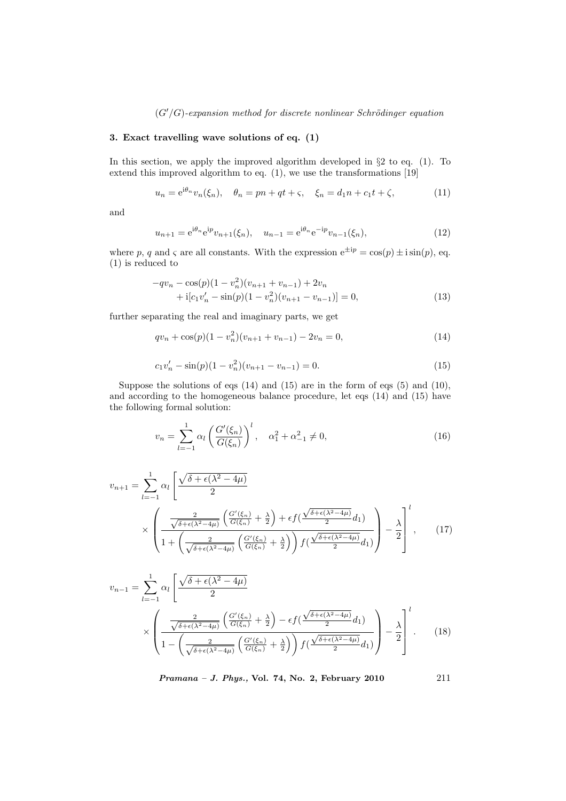# 3. Exact travelling wave solutions of eq. (1)

In this section, we apply the improved algorithm developed in  $\S 2$  to eq. (1). To extend this improved algorithm to eq. (1), we use the transformations [19]

$$
u_n = e^{i\theta_n} v_n(\xi_n), \quad \theta_n = pn + qt + \varsigma, \quad \xi_n = d_1 n + c_1 t + \zeta,
$$
 (11)

and

$$
u_{n+1} = e^{i\theta_n} e^{ip} v_{n+1}(\xi_n), \quad u_{n-1} = e^{i\theta_n} e^{-ip} v_{n-1}(\xi_n), \tag{12}
$$

where p, q and  $\varsigma$  are all constants. With the expression  $e^{\pm ip} = \cos(p) \pm i \sin(p)$ , eq. (1) is reduced to

$$
-qv_n - \cos(p)(1 - v_n^2)(v_{n+1} + v_{n-1}) + 2v_n + i[c_1v'_n - \sin(p)(1 - v_n^2)(v_{n+1} - v_{n-1})] = 0,
$$
\n(13)

further separating the real and imaginary parts, we get

$$
qv_n + \cos(p)(1 - v_n^2)(v_{n+1} + v_{n-1}) - 2v_n = 0,
$$
\n(14)

$$
c_1v'_n - \sin(p)(1 - v_n^2)(v_{n+1} - v_{n-1}) = 0.
$$
\n(15)

Suppose the solutions of eqs (14) and (15) are in the form of eqs (5) and (10), and according to the homogeneous balance procedure, let eqs (14) and (15) have the following formal solution:

$$
v_n = \sum_{l=-1}^{1} \alpha_l \left( \frac{G'(\xi_n)}{G(\xi_n)} \right)^l, \quad \alpha_1^2 + \alpha_{-1}^2 \neq 0,
$$
\n(16)

$$
v_{n+1} = \sum_{l=-1}^{1} \alpha_l \left[ \frac{\sqrt{\delta + \epsilon(\lambda^2 - 4\mu)}}{2} \times \left( \frac{\frac{2}{\sqrt{\delta + \epsilon(\lambda^2 - 4\mu)}} \left( \frac{G'(\xi_n)}{G(\xi_n)} + \frac{\lambda}{2} \right) + \epsilon f(\frac{\sqrt{\delta + \epsilon(\lambda^2 - 4\mu)}}{2} d_1)}{1 + \left( \frac{2}{\sqrt{\delta + \epsilon(\lambda^2 - 4\mu)}} \left( \frac{G'(\xi_n)}{G(\xi_n)} + \frac{\lambda}{2} \right) \right) f(\frac{\sqrt{\delta + \epsilon(\lambda^2 - 4\mu)}}{2} d_1)} \right] - \frac{\lambda}{2} \right]^l, \quad (17)
$$

$$
v_{n-1} = \sum_{l=-1}^{1} \alpha_l \left[ \frac{\sqrt{\delta + \epsilon(\lambda^2 - 4\mu)}}{2} \times \left( \frac{\frac{2}{\sqrt{\delta + \epsilon(\lambda^2 - 4\mu)}} \left( \frac{G'(\xi_n)}{G(\xi_n)} + \frac{\lambda}{2} \right) - \epsilon f(\frac{\sqrt{\delta + \epsilon(\lambda^2 - 4\mu)}}{2} d_1)}{1 - \left( \frac{2}{\sqrt{\delta + \epsilon(\lambda^2 - 4\mu)}} \left( \frac{G'(\xi_n)}{G(\xi_n)} + \frac{\lambda}{2} \right) \right) f(\frac{\sqrt{\delta + \epsilon(\lambda^2 - 4\mu)}}{2} d_1)} \right] - \frac{\lambda}{2} \right]^l. \tag{18}
$$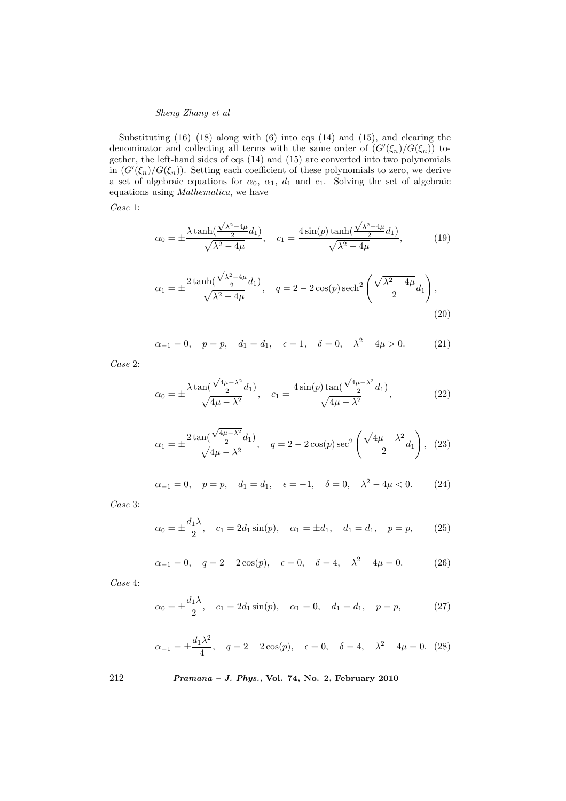Substituting  $(16)$ – $(18)$  along with  $(6)$  into eqs  $(14)$  and  $(15)$ , and clearing the denominator and collecting all terms with the same order of  $(G'(\xi_n)/G(\xi_n))$  together, the left-hand sides of eqs (14) and (15) are converted into two polynomials in  $(G'(\xi_n)/G(\xi_n))$ . Setting each coefficient of these polynomials to zero, we derive a set of algebraic equations for  $\alpha_0$ ,  $\alpha_1$ ,  $d_1$  and  $c_1$ . Solving the set of algebraic equations using Mathematica, we have

Case 1:

$$
\alpha_0 = \pm \frac{\lambda \tanh(\frac{\sqrt{\lambda^2 - 4\mu}}{2} d_1)}{\sqrt{\lambda^2 - 4\mu}}, \quad c_1 = \frac{4 \sin(p) \tanh(\frac{\sqrt{\lambda^2 - 4\mu}}{2} d_1)}{\sqrt{\lambda^2 - 4\mu}},
$$
(19)

$$
\alpha_1 = \pm \frac{2 \tanh(\frac{\sqrt{\lambda^2 - 4\mu}}{2} d_1)}{\sqrt{\lambda^2 - 4\mu}}, \quad q = 2 - 2 \cos(p) \operatorname{sech}^2\left(\frac{\sqrt{\lambda^2 - 4\mu}}{2} d_1\right),
$$
\n(20)

$$
\alpha_{-1} = 0
$$
,  $p = p$ ,  $d_1 = d_1$ ,  $\epsilon = 1$ ,  $\delta = 0$ ,  $\lambda^2 - 4\mu > 0$ . (21)

Case 2:

$$
\alpha_0 = \pm \frac{\lambda \tan(\frac{\sqrt{4\mu - \lambda^2}}{2} d_1)}{\sqrt{4\mu - \lambda^2}}, \quad c_1 = \frac{4 \sin(p) \tan(\frac{\sqrt{4\mu - \lambda^2}}{2} d_1)}{\sqrt{4\mu - \lambda^2}},
$$
(22)

$$
\alpha_1 = \pm \frac{2 \tan(\frac{\sqrt{4\mu - \lambda^2}}{2} d_1)}{\sqrt{4\mu - \lambda^2}}, \quad q = 2 - 2 \cos(p) \sec^2\left(\frac{\sqrt{4\mu - \lambda^2}}{2} d_1\right), \tag{23}
$$

$$
\alpha_{-1} = 0
$$
,  $p = p$ ,  $d_1 = d_1$ ,  $\epsilon = -1$ ,  $\delta = 0$ ,  $\lambda^2 - 4\mu < 0$ . (24)

Case 3:

$$
\alpha_0 = \pm \frac{d_1 \lambda}{2}
$$
,  $c_1 = 2d_1 \sin(p)$ ,  $\alpha_1 = \pm d_1$ ,  $d_1 = d_1$ ,  $p = p$ , (25)

$$
\alpha_{-1} = 0
$$
,  $q = 2 - 2\cos(p)$ ,  $\epsilon = 0$ ,  $\delta = 4$ ,  $\lambda^2 - 4\mu = 0$ . (26)

Case 4:

$$
\alpha_0 = \pm \frac{d_1 \lambda}{2}
$$
,  $c_1 = 2d_1 \sin(p)$ ,  $\alpha_1 = 0$ ,  $d_1 = d_1$ ,  $p = p$ , (27)

$$
\alpha_{-1} = \pm \frac{d_1 \lambda^2}{4}
$$
,  $q = 2 - 2\cos(p)$ ,  $\epsilon = 0$ ,  $\delta = 4$ ,  $\lambda^2 - 4\mu = 0$ . (28)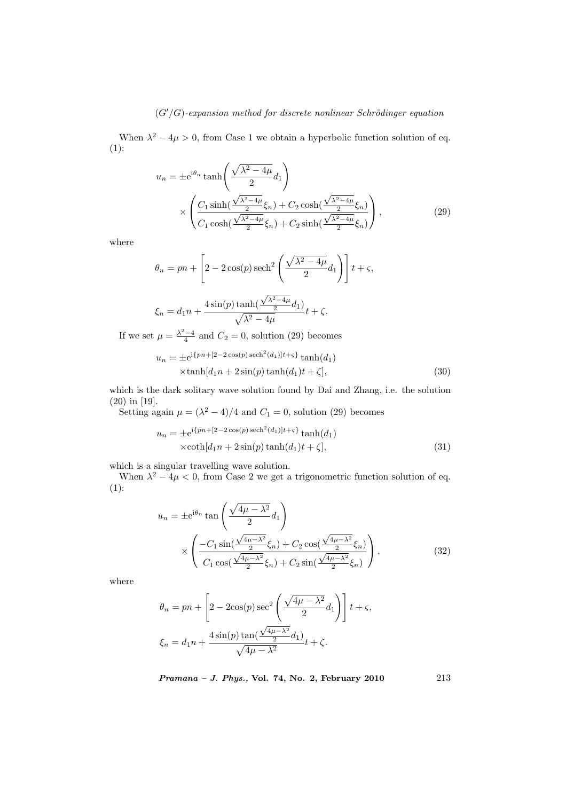When  $\lambda^2 - 4\mu > 0$ , from Case 1 we obtain a hyperbolic function solution of eq. (1):

$$
u_n = \pm e^{i\theta_n} \tanh\left(\frac{\sqrt{\lambda^2 - 4\mu}}{2} d_1\right)
$$

$$
\times \left(\frac{C_1 \sinh(\frac{\sqrt{\lambda^2 - 4\mu}}{2} \xi_n) + C_2 \cosh(\frac{\sqrt{\lambda^2 - 4\mu}}{2} \xi_n)}{C_1 \cosh(\frac{\sqrt{\lambda^2 - 4\mu}}{2} \xi_n) + C_2 \sinh(\frac{\sqrt{\lambda^2 - 4\mu}}{2} \xi_n)}\right),
$$
(29)

where

$$
\theta_n = pn + \left[ 2 - 2\cos(p)\operatorname{sech}^2\left(\frac{\sqrt{\lambda^2 - 4\mu}}{2}d_1\right) \right] t + \varsigma,
$$
  

$$
\xi_n = d_1 n + \frac{4\sin(p)\tanh(\frac{\sqrt{\lambda^2 - 4\mu}}{2}d_1)}{\sqrt{\lambda^2 - 4\mu}}t + \zeta.
$$

If we set  $\mu = \frac{\lambda^2 - 4}{4}$  and  $C_2 = 0$ , solution (29) becomes

$$
u_n = \pm e^{i\{pn + [2 - 2\cos(p)\operatorname{sech}^2(d_1)]t + \varsigma\}} \tanh(d_1)
$$
  
 
$$
\times \tanh[d_1n + 2\sin(p)\tanh(d_1)t + \zeta],
$$
 (30)

which is the dark solitary wave solution found by Dai and Zhang, i.e. the solution (20) in [19].

Setting again  $\mu = (\lambda^2 - 4)/4$  and  $C_1 = 0$ , solution (29) becomes

$$
u_n = \pm e^{i\{pn + [2 - 2\cos(p)\operatorname{sech}^2(d_1)]t + \varsigma\}} \tanh(d_1)
$$
  
 
$$
\times \coth[d_1n + 2\sin(p)\tanh(d_1)t + \zeta],
$$
 (31)

which is a singular travelling wave solution.

When  $\lambda^2 - 4\mu < 0$ , from Case 2 we get a trigonometric function solution of eq.  $(1)$ :

$$
u_n = \pm e^{i\theta_n} \tan\left(\frac{\sqrt{4\mu - \lambda^2}}{2} d_1\right)
$$
  
 
$$
\times \left(\frac{-C_1 \sin(\frac{\sqrt{4\mu - \lambda^2}}{2} \xi_n) + C_2 \cos(\frac{\sqrt{4\mu - \lambda^2}}{2} \xi_n)}{C_1 \cos(\frac{\sqrt{4\mu - \lambda^2}}{2} \xi_n) + C_2 \sin(\frac{\sqrt{4\mu - \lambda^2}}{2} \xi_n)}\right),
$$
 (32)

where

$$
\theta_n = pn + \left[2 - 2\cos(p)\sec^2\left(\frac{\sqrt{4\mu - \lambda^2}}{2}d_1\right)\right]t + \varsigma,
$$
  

$$
\xi_n = d_1n + \frac{4\sin(p)\tan(\frac{\sqrt{4\mu - \lambda^2}}{2}d_1)}{\sqrt{4\mu - \lambda^2}}t + \zeta.
$$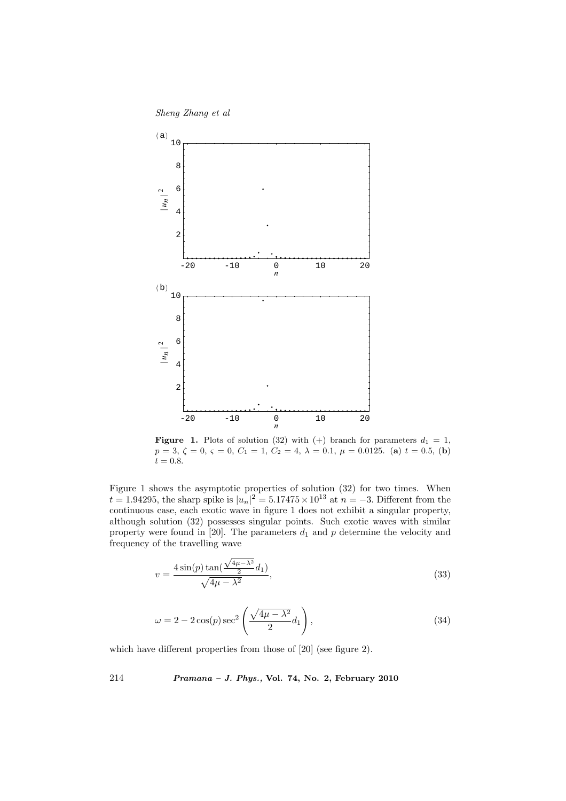



**Figure 1.** Plots of solution (32) with (+) branch for parameters  $d_1 = 1$ ,  $p = 3, \zeta = 0, \varsigma = 0, C_1 = 1, C_2 = 4, \lambda = 0.1, \mu = 0.0125.$  (a)  $t = 0.5,$  (b)  $t = 0.8.$ 

Figure 1 shows the asymptotic properties of solution (32) for two times. When  $t = 1.94295$ , the sharp spike is  $|u_n|^2 = 5.17475 \times 10^{13}$  at  $n = -3$ . Different from the continuous case, each exotic wave in figure 1 does not exhibit a singular property, although solution (32) possesses singular points. Such exotic waves with similar property were found in [20]. The parameters  $d_1$  and  $p$  determine the velocity and frequency of the travelling wave

$$
v = \frac{4\sin(p)\tan(\frac{\sqrt{4\mu - \lambda^2}}{2}d_1)}{\sqrt{4\mu - \lambda^2}},
$$
\n(33)

$$
\omega = 2 - 2\cos(p)\sec^2\left(\frac{\sqrt{4\mu - \lambda^2}}{2}d_1\right),\tag{34}
$$

which have different properties from those of [20] (see figure 2).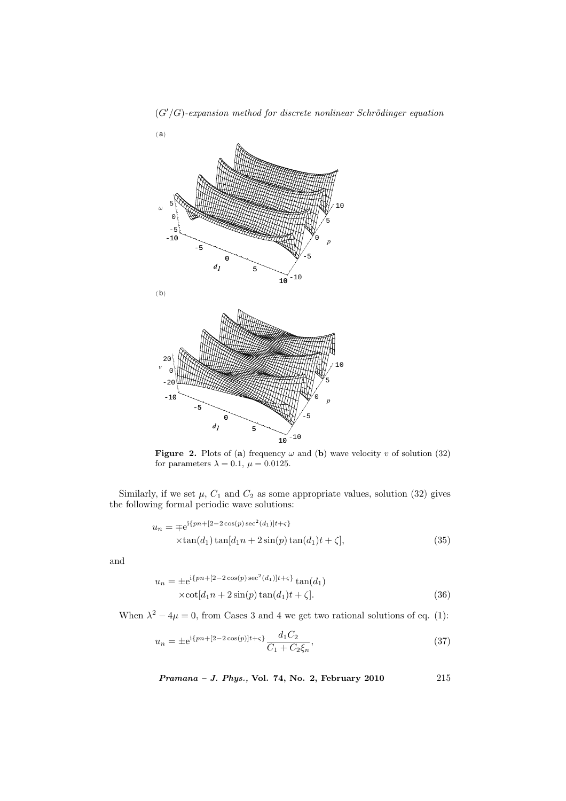

 $(G'/G)$ -expansion method for discrete nonlinear Schrödinger equation

**Figure 2.** Plots of (a) frequency  $\omega$  and (b) wave velocity v of solution (32) for parameters  $\lambda = 0.1$ ,  $\mu = 0.0125$ .

Similarly, if we set  $\mu$ ,  $C_1$  and  $C_2$  as some appropriate values, solution (32) gives the following formal periodic wave solutions:

$$
u_n = \mp e^{i\{pn + [2-2\cos(p)\sec^2(d_1)]t + \varsigma\}} \times \tan(d_1)\tan[d_1n + 2\sin(p)\tan(d_1)t + \zeta],
$$
\n(35)

and

$$
u_n = \pm e^{i\{pn + [2 - 2\cos(p)\sec^2(d_1)]t + \varsigma\}} \tan(d_1)
$$
  
 
$$
\times \cot[d_1 n + 2\sin(p)\tan(d_1)t + \zeta].
$$
 (36)

When  $\lambda^2 - 4\mu = 0$ , from Cases 3 and 4 we get two rational solutions of eq. (1):

$$
u_n = \pm e^{i\{pn + [2 - 2\cos(p)]t + \varsigma\}} \frac{d_1 C_2}{C_1 + C_2 \xi_n},\tag{37}
$$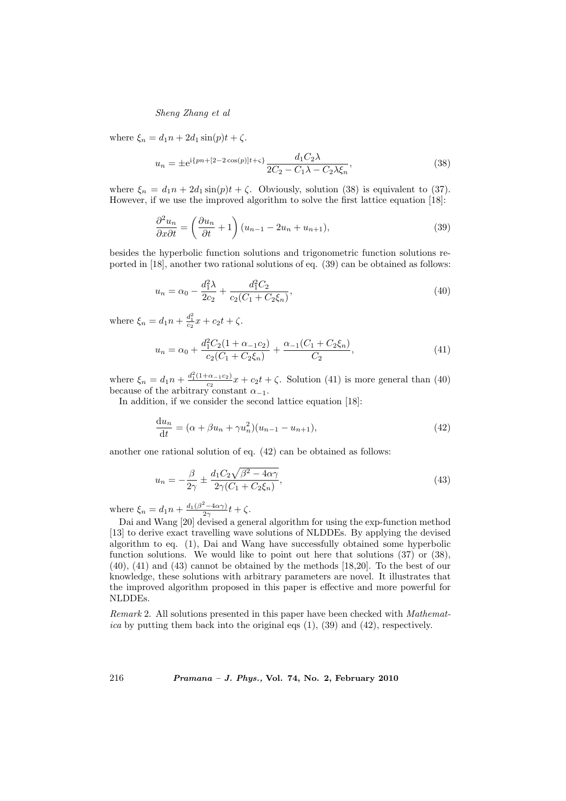where  $\xi_n = d_1n + 2d_1\sin(p)t + \zeta$ .

$$
u_n = \pm e^{i\{pn + [2 - 2\cos(p)]t + \varsigma\}} \frac{d_1 C_2 \lambda}{2C_2 - C_1 \lambda - C_2 \lambda \xi_n},
$$
\n(38)

where  $\xi_n = d_1n + 2d_1\sin(p)t + \zeta$ . Obviously, solution (38) is equivalent to (37). However, if we use the improved algorithm to solve the first lattice equation [18]:

$$
\frac{\partial^2 u_n}{\partial x \partial t} = \left(\frac{\partial u_n}{\partial t} + 1\right) (u_{n-1} - 2u_n + u_{n+1}),\tag{39}
$$

besides the hyperbolic function solutions and trigonometric function solutions reported in [18], another two rational solutions of eq. (39) can be obtained as follows:

$$
u_n = \alpha_0 - \frac{d_1^2 \lambda}{2c_2} + \frac{d_1^2 C_2}{c_2 (C_1 + C_2 \xi_n)},
$$
\n(40)

where  $\xi_n = d_1 n + \frac{d_1^2}{c_2} x + c_2 t + \zeta$ .

$$
u_n = \alpha_0 + \frac{d_1^2 C_2 (1 + \alpha_{-1} c_2)}{c_2 (C_1 + C_2 \xi_n)} + \frac{\alpha_{-1} (C_1 + C_2 \xi_n)}{C_2},
$$
\n(41)

where  $\xi_n = d_1 n + \frac{d_1^2(1+\alpha_{-1}c_2)}{c_2}$  $\frac{c_{\alpha-1}c_2}{c_2}x + c_2t + \zeta$ . Solution (41) is more general than (40) because of the arbitrary constant  $\alpha_{-1}$ .

In addition, if we consider the second lattice equation [18]:

$$
\frac{du_n}{dt} = (\alpha + \beta u_n + \gamma u_n^2)(u_{n-1} - u_{n+1}),
$$
\n(42)

another one rational solution of eq. (42) can be obtained as follows:

$$
u_n = -\frac{\beta}{2\gamma} \pm \frac{d_1 C_2 \sqrt{\beta^2 - 4\alpha\gamma}}{2\gamma (C_1 + C_2 \xi_n)},
$$
\n(43)

where  $\xi_n = d_1 n + \frac{d_1(\beta^2 - 4\alpha\gamma)}{2\gamma}$  $\frac{(-4\alpha\gamma)}{2\gamma}t+\zeta.$ 

Dai and Wang [20] devised a general algorithm for using the exp-function method [13] to derive exact travelling wave solutions of NLDDEs. By applying the devised algorithm to eq. (1), Dai and Wang have successfully obtained some hyperbolic function solutions. We would like to point out here that solutions  $(37)$  or  $(38)$ , (40), (41) and (43) cannot be obtained by the methods [18,20]. To the best of our knowledge, these solutions with arbitrary parameters are novel. It illustrates that the improved algorithm proposed in this paper is effective and more powerful for NLDDEs.

Remark 2. All solutions presented in this paper have been checked with Mathematica by putting them back into the original eqs  $(1)$ ,  $(39)$  and  $(42)$ , respectively.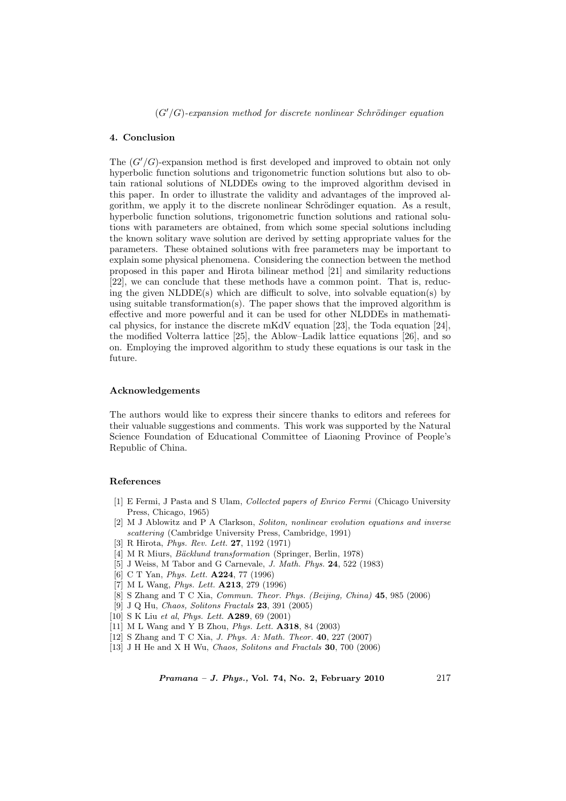# 4. Conclusion

The  $(G'/G)$ -expansion method is first developed and improved to obtain not only hyperbolic function solutions and trigonometric function solutions but also to obtain rational solutions of NLDDEs owing to the improved algorithm devised in this paper. In order to illustrate the validity and advantages of the improved algorithm, we apply it to the discrete nonlinear Schrödinger equation. As a result, hyperbolic function solutions, trigonometric function solutions and rational solutions with parameters are obtained, from which some special solutions including the known solitary wave solution are derived by setting appropriate values for the parameters. These obtained solutions with free parameters may be important to explain some physical phenomena. Considering the connection between the method proposed in this paper and Hirota bilinear method [21] and similarity reductions [22], we can conclude that these methods have a common point. That is, reducing the given  $NLDDE(s)$  which are difficult to solve, into solvable equation(s) by using suitable transformation(s). The paper shows that the improved algorithm is effective and more powerful and it can be used for other NLDDEs in mathematical physics, for instance the discrete mKdV equation [23], the Toda equation [24], the modified Volterra lattice [25], the Ablow–Ladik lattice equations [26], and so on. Employing the improved algorithm to study these equations is our task in the future.

### Acknowledgements

The authors would like to express their sincere thanks to editors and referees for their valuable suggestions and comments. This work was supported by the Natural Science Foundation of Educational Committee of Liaoning Province of People's Republic of China.

#### References

- [1] E Fermi, J Pasta and S Ulam, Collected papers of Enrico Fermi (Chicago University Press, Chicago, 1965)
- [2] M J Ablowitz and P A Clarkson, Soliton, nonlinear evolution equations and inverse scattering (Cambridge University Press, Cambridge, 1991)
- [3] R Hirota, Phys. Rev. Lett. 27, 1192 (1971)
- [4] M R Miurs, *Bäcklund transformation* (Springer, Berlin, 1978)
- [5] J Weiss, M Tabor and G Carnevale, J. Math. Phys. 24, 522 (1983)
- [6] C T Yan, *Phys. Lett.* **A224**, 77 (1996)
- [7] M L Wang, *Phys. Lett.* **A213**, 279 (1996)
- [8] S Zhang and T C Xia, Commun. Theor. Phys. (Beijing, China) 45, 985 (2006)
- [9] J Q Hu, Chaos, Solitons Fractals 23, 391 (2005)
- [10] S K Liu et al, *Phys. Lett.* **A289**, 69 (2001)
- [11] M L Wang and Y B Zhou, Phys. Lett. A318, 84 (2003)
- [12] S Zhang and T C Xia, J. Phys. A: Math. Theor. 40, 227 (2007)
- [13] J H He and X H Wu, *Chaos, Solitons and Fractals* **30**, 700 (2006)